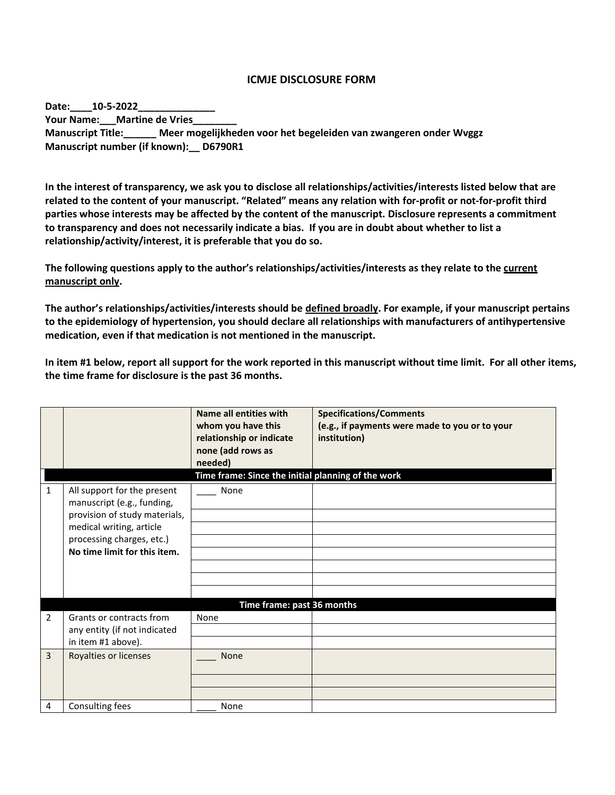## **ICMJE DISCLOSURE FORM**

**Date:\_\_\_\_10-5-2022\_\_\_\_\_\_\_\_\_\_\_\_\_\_ Your Name:\_\_\_Martine de Vries\_\_\_\_\_\_\_\_ Manuscript Title:\_\_\_\_\_\_ Meer mogelijkheden voor het begeleiden van zwangeren onder Wvggz Manuscript number (if known):\_\_ D6790R1**

**In the interest of transparency, we ask you to disclose all relationships/activities/interests listed below that are related to the content of your manuscript. "Related" means any relation with for-profit or not-for-profit third parties whose interests may be affected by the content of the manuscript. Disclosure represents a commitment to transparency and does not necessarily indicate a bias. If you are in doubt about whether to list a relationship/activity/interest, it is preferable that you do so.** 

**The following questions apply to the author's relationships/activities/interests as they relate to the current manuscript only.**

**The author's relationships/activities/interests should be defined broadly. For example, if your manuscript pertains to the epidemiology of hypertension, you should declare all relationships with manufacturers of antihypertensive medication, even if that medication is not mentioned in the manuscript.** 

**In item #1 below, report all support for the work reported in this manuscript without time limit. For all other items, the time frame for disclosure is the past 36 months.** 

|              |                                                                                                                                                                                     | Name all entities with<br>whom you have this<br>relationship or indicate<br>none (add rows as<br>needed)<br>Time frame: Since the initial planning of the work | <b>Specifications/Comments</b><br>(e.g., if payments were made to you or to your<br>institution) |  |  |
|--------------|-------------------------------------------------------------------------------------------------------------------------------------------------------------------------------------|----------------------------------------------------------------------------------------------------------------------------------------------------------------|--------------------------------------------------------------------------------------------------|--|--|
| $\mathbf{1}$ | All support for the present<br>manuscript (e.g., funding,<br>provision of study materials,<br>medical writing, article<br>processing charges, etc.)<br>No time limit for this item. | None                                                                                                                                                           |                                                                                                  |  |  |
|              | Time frame: past 36 months                                                                                                                                                          |                                                                                                                                                                |                                                                                                  |  |  |
| 2            | Grants or contracts from<br>any entity (if not indicated<br>in item #1 above).                                                                                                      | None                                                                                                                                                           |                                                                                                  |  |  |
| 3            | Royalties or licenses                                                                                                                                                               | <b>None</b>                                                                                                                                                    |                                                                                                  |  |  |
| 4            | Consulting fees                                                                                                                                                                     | None                                                                                                                                                           |                                                                                                  |  |  |